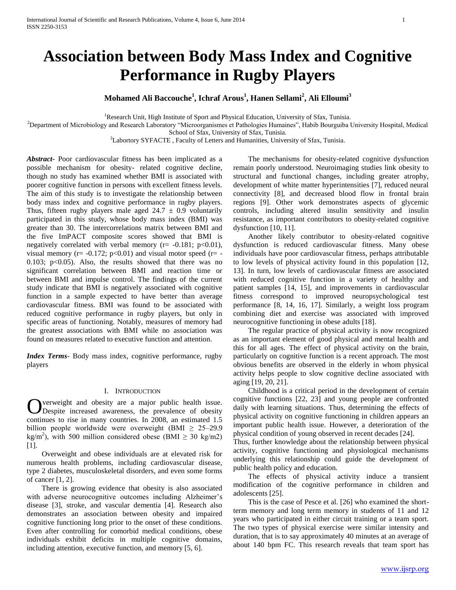# **Association between Body Mass Index and Cognitive Performance in Rugby Players**

**Mohamed Ali Baccouche<sup>1</sup> , Ichraf Arous<sup>1</sup> , Hanen Sellami<sup>2</sup> , Ali Elloumi<sup>3</sup>**

<sup>1</sup>Research Unit, High Institute of Sport and Physical Education, University of Sfax, Tunisia.

<sup>2</sup>Department of Microbiology and Research Laboratory "Microorganismes et Pathologies Humaines", Habib Bourguiba University Hospital, Medical School of Sfax, University of Sfax, Tunisia.

<sup>3</sup>Labortory SYFACTE, Faculty of Letters and Humanities, University of Sfax, Tunisia.

*Abstract***-** Poor cardiovascular fitness has been implicated as a possible mechanism for obesity- related cognitive decline, though no study has examined whether BMI is associated with poorer cognitive function in persons with excellent fitness levels. The aim of this study is to investigate the relationship between body mass index and cognitive performance in rugby players. Thus, fifteen rugby players male aged  $24.7 \pm 0.9$  voluntarily participated in this study, whose body mass index (BMI) was greater than 30. The intercorrelations matrix between BMI and the five ImPACT composite scores showed that BMI is negatively correlated with verbal memory ( $r = -0.181$ ;  $p < 0.01$ ), visual memory ( $r = -0.172$ ;  $p < 0.01$ ) and visual motor speed ( $r = -1$ 0.103;  $p<0.05$ ). Also, the results showed that there was no significant correlation between BMI and reaction time or between BMI and impulse control. The findings of the current study indicate that BMI is negatively associated with cognitive function in a sample expected to have better than average cardiovascular fitness. BMI was found to be associated with reduced cognitive performance in rugby players, but only in specific areas of functioning. Notably, measures of memory had the greatest associations with BMI while no association was found on measures related to executive function and attention.

*Index Terms*- Body mass index, cognitive performance, rugby players

### I. INTRODUCTION

verweight and obesity are a major public health issue. Overweight and obesity are a major public health issue.<br>
Obespite increased awareness, the prevalence of obesity continues to rise in many countries. In 2008, an estimated 1.5 billion people worldwide were overweight (BMI  $\geq$  25–29.9 kg/m<sup>2</sup>), with 500 million considered obese (BMI  $\geq$  30 kg/m2) [1].

 Overweight and obese individuals are at elevated risk for numerous health problems, including cardiovascular disease, type 2 diabetes, musculoskeletal disorders, and even some forms of cancer [1, 2].

 There is growing evidence that obesity is also associated with adverse neurocognitive outcomes including Alzheimer's disease [3], stroke, and vascular dementia [4]. Research also demonstrates an association between obesity and impaired cognitive functioning long prior to the onset of these conditions. Even after controlling for comorbid medical conditions, obese individuals exhibit deficits in multiple cognitive domains, including attention, executive function, and memory [5, 6].

 The mechanisms for obesity-related cognitive dysfunction remain poorly understood. Neuroimaging studies link obesity to structural and functional changes, including greater atrophy, development of white matter hyperintensities [7], reduced neural connectivity [8], and decreased blood flow in frontal brain regions [9]. Other work demonstrates aspects of glycemic controls, including altered insulin sensitivity and insulin resistance, as important contributors to obesity-related cognitive dysfunction [10, 11].

 Another likely contributor to obesity-related cognitive dysfunction is reduced cardiovascular fitness. Many obese individuals have poor cardiovascular fitness, perhaps attributable to low levels of physical activity found in this population [12, 13]. In turn, low levels of cardiovascular fitness are associated with reduced cognitive function in a variety of healthy and patient samples [14, 15], and improvements in cardiovascular fitness correspond to improved neuropsychological test performance [8, 14, 16, 17]. Similarly, a weight loss program combining diet and exercise was associated with improved neurocognitive functioning in obese adults [18].

 The regular practice of physical activity is now recognized as an important element of good physical and mental health and this for all ages. The effect of physical activity on the brain, particularly on cognitive function is a recent approach. The most obvious benefits are observed in the elderly in whom physical activity helps people to slow cognitive decline associated with aging [19, 20, 21].

 Childhood is a critical period in the development of certain cognitive functions [22, 23] and young people are confronted daily with learning situations. Thus, determining the effects of physical activity on cognitive functioning in children appears an important public health issue. However, a deterioration of the physical condition of young observed in recent decades [24].

Thus, further knowledge about the relationship between physical activity, cognitive functioning and physiological mechanisms underlying this relationship could guide the development of public health policy and education.

 The effects of physical activity induce a transient modification of the cognitive performance in children and adolescents [25].

 This is the case of Pesce et al. [26] who examined the shortterm memory and long term memory in students of 11 and 12 years who participated in either circuit training or a team sport. The two types of physical exercise were similar intensity and duration, that is to say approximately 40 minutes at an average of about 140 bpm FC. This research reveals that team sport has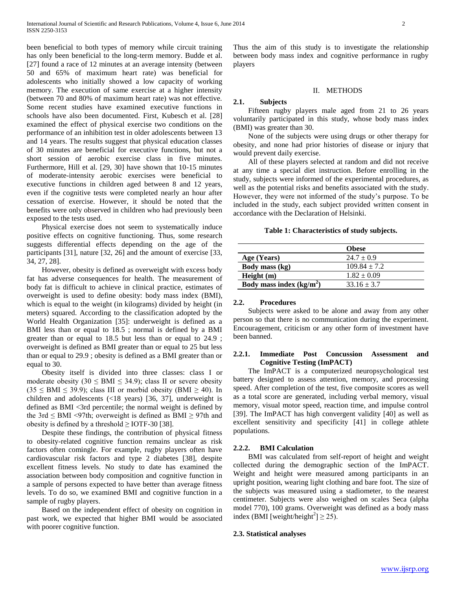been beneficial to both types of memory while circuit training has only been beneficial to the long-term memory. Budde et al. [27] found a race of 12 minutes at an average intensity (between 50 and 65% of maximum heart rate) was beneficial for adolescents who initially showed a low capacity of working memory. The execution of same exercise at a higher intensity (between 70 and 80% of maximum heart rate) was not effective. Some recent studies have examined executive functions in schools have also been documented. First, Kubesch et al. [28] examined the effect of physical exercise two conditions on the performance of an inhibition test in older adolescents between 13 and 14 years. The results suggest that physical education classes of 30 minutes are beneficial for executive functions, but not a short session of aerobic exercise class in five minutes. Furthermore, Hill et al. [29, 30] have shown that 10-15 minutes of moderate-intensity aerobic exercises were beneficial to executive functions in children aged between 8 and 12 years, even if the cognitive tests were completed nearly an hour after cessation of exercise. However, it should be noted that the benefits were only observed in children who had previously been exposed to the tests used.

 Physical exercise does not seem to systematically induce positive effects on cognitive functioning. Thus, some research suggests differential effects depending on the age of the participants [31], nature [32, 26] and the amount of exercise [33, 34, 27, 28].

 However, obesity is defined as overweight with excess body fat has adverse consequences for health. The measurement of body fat is difficult to achieve in clinical practice, estimates of overweight is used to define obesity: body mass index (BMI), which is equal to the weight (in kilograms) divided by height (in meters) squared. According to the classification adopted by the World Health Organization [35]: underweight is defined as a BMI less than or equal to 18.5 ; normal is defined by a BMI greater than or equal to 18.5 but less than or equal to 24.9 ; overweight is defined as BMI greater than or equal to 25 but less than or equal to 29.9 ; obesity is defined as a BMI greater than or equal to 30.

 Obesity itself is divided into three classes: class I or moderate obesity (30  $\leq$  BMI  $\leq$  34.9); class II or severe obesity  $(35 \leq BMI \leq 39.9)$ ; class III or morbid obesity (BMI  $\geq 40$ ). In children and adolescents (<18 years) [36, 37], underweight is defined as BMI <3rd percentile; the normal weight is defined by the 3rd  $\leq$  BMI <97th; overweight is defined as BMI  $\geq$  97th and obesity is defined by a threshold  $\geq$  IOTF-30 [38].

 Despite these findings, the contribution of physical fitness to obesity-related cognitive function remains unclear as risk factors often comingle. For example, rugby players often have cardiovascular risk factors and type 2 diabetes [38], despite excellent fitness levels. No study to date has examined the association between body composition and cognitive function in a sample of persons expected to have better than average fitness levels. To do so, we examined BMI and cognitive function in a sample of rugby players.

 Based on the independent effect of obesity on cognition in past work, we expected that higher BMI would be associated with poorer cognitive function.

Thus the aim of this study is to investigate the relationship between body mass index and cognitive performance in rugby players

## II. METHODS

# **2.1. Subjects**

 Fifteen rugby players male aged from 21 to 26 years voluntarily participated in this study, whose body mass index (BMI) was greater than 30.

 None of the subjects were using drugs or other therapy for obesity, and none had prior histories of disease or injury that would prevent daily exercise.

 All of these players selected at random and did not receive at any time a special diet instruction. Before enrolling in the study, subjects were informed of the experimental procedures, as well as the potential risks and benefits associated with the study. However, they were not informed of the study's purpose. To be included in the study, each subject provided written consent in accordance with the Declaration of Helsinki.

# **Table 1: Characteristics of study subjects.**

|                            | <b>Obese</b>     |
|----------------------------|------------------|
| Age (Years)                | $24.7 \pm 0.9$   |
| Body mass (kg)             | $109.84 \pm 7.2$ |
| Height(m)                  | $1.82 \pm 0.09$  |
| Body mass index $(kg/m^2)$ | $33.16 \pm 3.7$  |

## **2.2. Procedures**

 Subjects were asked to be alone and away from any other person so that there is no communication during the experiment. Encouragement, criticism or any other form of investment have been banned.

# **2.2.1. Immediate Post Concussion Assessment and Cognitive Testing (ImPACT)**

 The ImPACT is a computerized neuropsychological test battery designed to assess attention, memory, and processing speed. After completion of the test, five composite scores as well as a total score are generated, including verbal memory, visual memory, visual motor speed, reaction time, and impulse control [39]. The ImPACT has high convergent validity [40] as well as excellent sensitivity and specificity [41] in college athlete populations.

# **2.2.2. BMI Calculation**

 BMI was calculated from self-report of height and weight collected during the demographic section of the ImPACT. Weight and height were measured among participants in an upright position, wearing light clothing and bare foot. The size of the subjects was measured using a stadiometer, to the nearest centimeter. Subjects were also weighed on scales Seca (alpha model 770), 100 grams. Overweight was defined as a body mass index (BMI [weight/height<sup>2</sup>]  $\geq$  25).

#### **2.3. Statistical analyses**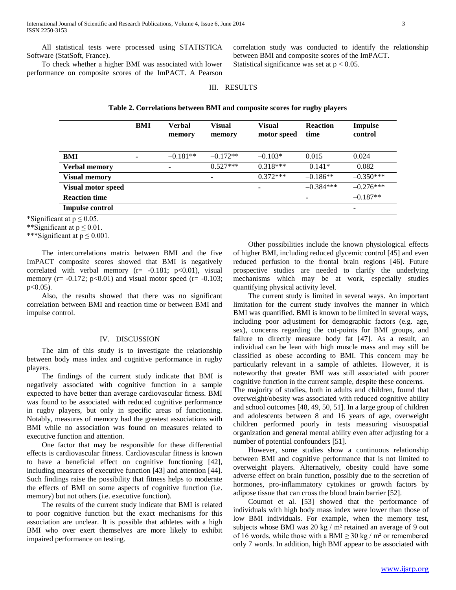All statistical tests were processed using STATISTICA Software (StatSoft, France).

 To check whether a higher BMI was associated with lower performance on composite scores of the ImPACT. A Pearson correlation study was conducted to identify the relationship between BMI and composite scores of the ImPACT. Statistical significance was set at  $p < 0.05$ .

# III. RESULTS

**Table 2. Correlations between BMI and composite scores for rugby players**

|                      | BMI | Verbal<br>memory | <b>Visual</b><br>memory | <b>Visual</b><br>motor speed | <b>Reaction</b><br>time | Impulse<br>control |
|----------------------|-----|------------------|-------------------------|------------------------------|-------------------------|--------------------|
| BMI                  |     | $-0.181**$       | $-0.172**$              | $-0.103*$                    | 0.015                   | 0.024              |
| <b>Verbal memory</b> |     |                  | $0.527***$              | $0.318***$                   | $-0.141*$               | $-0.082$           |
| <b>Visual memory</b> |     |                  | ٠                       | $0.372***$                   | $-0.186**$              | $-0.350***$        |
| Visual motor speed   |     |                  |                         | ٠                            | $-0.384***$             | $-0.276***$        |
| <b>Reaction time</b> |     |                  |                         |                              | ٠                       | $-0.187**$         |
| Impulse control      |     |                  |                         |                              |                         | ۰                  |

\*Significant at  $p \le 0.05$ .

\*\*Significant at  $p \le 0.01$ .

\*\*\*Significant at  $p \leq 0.001$ .

 The intercorrelations matrix between BMI and the five ImPACT composite scores showed that BMI is negatively correlated with verbal memory  $(r= -0.181; p<0.01)$ , visual memory ( $r = -0.172$ ;  $p < 0.01$ ) and visual motor speed ( $r = -0.103$ ;  $p<0.05$ ).

 Also, the results showed that there was no significant correlation between BMI and reaction time or between BMI and impulse control.

## IV. DISCUSSION

 The aim of this study is to investigate the relationship between body mass index and cognitive performance in rugby players.

 The findings of the current study indicate that BMI is negatively associated with cognitive function in a sample expected to have better than average cardiovascular fitness. BMI was found to be associated with reduced cognitive performance in rugby players, but only in specific areas of functioning. Notably, measures of memory had the greatest associations with BMI while no association was found on measures related to executive function and attention.

 One factor that may be responsible for these differential effects is cardiovascular fitness. Cardiovascular fitness is known to have a beneficial effect on cognitive functioning [42], including measures of executive function [43] and attention [44]. Such findings raise the possibility that fitness helps to moderate the effects of BMI on some aspects of cognitive function (i.e. memory) but not others (i.e. executive function).

 The results of the current study indicate that BMI is related to poor cognitive function but the exact mechanisms for this association are unclear. It is possible that athletes with a high BMI who over exert themselves are more likely to exhibit impaired performance on testing.

 Other possibilities include the known physiological effects of higher BMI, including reduced glycemic control [45] and even reduced perfusion to the frontal brain regions [46]. Future prospective studies are needed to clarify the underlying mechanisms which may be at work, especially studies quantifying physical activity level.

 The current study is limited in several ways. An important limitation for the current study involves the manner in which BMI was quantified. BMI is known to be limited in several ways, including poor adjustment for demographic factors (e.g. age, sex), concerns regarding the cut-points for BMI groups, and failure to directly measure body fat [47]. As a result, an individual can be lean with high muscle mass and may still be classified as obese according to BMI. This concern may be particularly relevant in a sample of athletes. However, it is noteworthy that greater BMI was still associated with poorer cognitive function in the current sample, despite these concerns.

The majority of studies, both in adults and children, found that overweight/obesity was associated with reduced cognitive ability and school outcomes [48, 49, 50, 51]. In a large group of children and adolescents between 8 and 16 years of age, overweight children performed poorly in tests measuring visuospatial organization and general mental ability even after adjusting for a number of potential confounders [51].

 However, some studies show a continuous relationship between BMI and cognitive performance that is not limited to overweight players. Alternatively, obesity could have some adverse effect on brain function, possibly due to the secretion of hormones, pro-inflammatory cytokines or growth factors by adipose tissue that can cross the blood brain barrier [52].

 Cournot et al. [53] showed that the performance of individuals with high body mass index were lower than those of low BMI individuals. For example, when the memory test, subjects whose BMI was 20 kg /  $m<sup>2</sup>$  retained an average of 9 out of 16 words, while those with a BMI  $\geq$  30 kg / m<sup>2</sup> or remembered only 7 words. In addition, high BMI appear to be associated with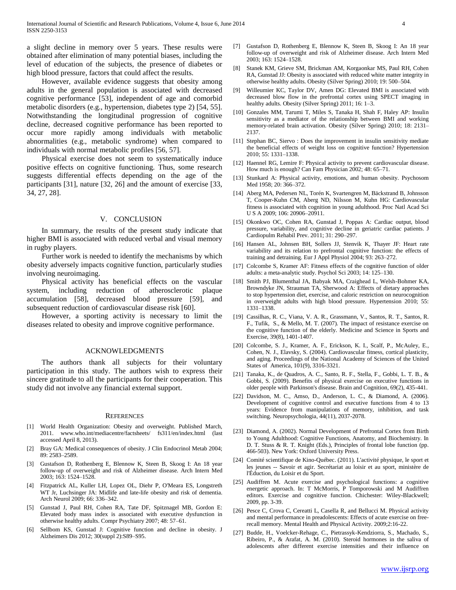a slight decline in memory over 5 years. These results were obtained after elimination of many potential biases, including the level of education of the subjects, the presence of diabetes or high blood pressure, factors that could affect the results.

 However, available evidence suggests that obesity among adults in the general population is associated with decreased cognitive performance [53], independent of age and comorbid metabolic disorders (e.g., hypertension, diabetes type 2) [54, 55]. Notwithstanding the longitudinal progression of cognitive decline, decreased cognitive performance has been reported to occur more rapidly among individuals with metabolic abnormalities (e.g., metabolic syndrome) when compared to individuals with normal metabolic profiles [56, 57].

 Physical exercise does not seem to systematically induce positive effects on cognitive functioning. Thus, some research suggests differential effects depending on the age of the participants [31], nature [32, 26] and the amount of exercise [33, 34, 27, 28].

# V. CONCLUSION

 In summary, the results of the present study indicate that higher BMI is associated with reduced verbal and visual memory in rugby players.

 Further work is needed to identify the mechanisms by which obesity adversely impacts cognitive function, particularly studies involving neuroimaging.

 Physical activity has beneficial effects on the vascular system, including reduction of atherosclerotic plaque accumulation [58], decreased blood pressure [59], and subsequent reduction of cardiovascular disease risk [60].

 However, a sporting activity is necessary to limit the diseases related to obesity and improve cognitive performance.

#### ACKNOWLEDGMENTS

 The authors thank all subjects for their voluntary participation in this study. The authors wish to express their sincere gratitude to all the participants for their cooperation. This study did not involve any financial external support.

#### **REFERENCES**

- [1] World Health Organization: Obesity and overweight. Published March, 2011. www.who.int/mediacentre/factsheets/ fs311/en/index.html (last accessed April 8, 2013).
- [2] Bray GA: Medical consequences of obesity. J Clin Endocrinol Metab 2004; 89: 2583–2589.
- [3] Gustafson D, Rothenberg E, Blennow K, Steen B, Skoog I: An 18 year follow-up of overweight and risk of Alzheimer disease. Arch Intern Med 2003; 163: 1524–1528.
- [4] Fitzpatrick AL, Kuller LH, Lopez OL, Diehr P, O'Meara ES, Longstreth WT Jr, Luchsinger JA: Midlife and late-life obesity and risk of dementia. Arch Neurol 2009; 66: 336–342.
- [5] Gunstad J, Paul RH, Cohen RA, Tate DF, Spitznagel MB, Gordon E: Elevated body mass index is associated with executive dysfunction in otherwise healthy adults. Compr Psychiatry 2007; 48: 57–61.
- [6] Sellbom KS, Gunstad J: Cognitive function and decline in obesity. J Alzheimers Dis 2012; 30(suppl 2):S89–S95.
- [7] Gustafson D, Rothenberg E, Blennow K, Steen B, Skoog I: An 18 year follow-up of overweight and risk of Alzheimer disease. Arch Intern Med 2003; 163: 1524–1528.
- [8] Stanek KM, Grieve SM, Brickman AM, Korgaonkar MS, Paul RH, Cohen RA, Gunstad JJ: Obesity is associated with reduced white matter integrity in otherwise healthy adults. Obesity (Silver Spring) 2010; 19: 500–504.
- [9] Willeumier KC, Taylor DV, Amen DG: Elevated BMI is associated with decreased blow flow in the prefrontal cortex using SPECT imaging in healthy adults. Obesity (Silver Spring) 2011; 16: 1–3.
- [10] Gonzales MM, Tarumi T, Miles S, Tanaka H, Shah F, Haley AP: Insulin sensitivity as a mediator of the relationship between BMI and working memory-related brain activation. Obesity (Silver Spring) 2010; 18: 2131– 2137.
- [11] Stephan BC, Siervo : Does the improvement in insulin sensitivity mediate the beneficial effects of weight loss on cognitive function? Hypertension 2010; 55: 1331–1338.
- [12] Haennel RG, Lemire F: Physical activity to prevent cardiovascular disease. How much is enough? Can Fam Physician 2002; 48: 65–71.
- [13] Stunkard A: Physical activity, emotions, and human obesity. Psychosom Med 1958; 20: 366–372.
- [14] Aberg MA, Pedersen NL, Torén K, Svartengren M, Bäckstrand B, Johnsson T, Cooper-Kuhn CM, Aberg ND, Nilsson M, Kuhn HG: Cardiovascular fitness is associated with cognition in young adulthood. Proc Natl Acad Sci U S A 2009; 106: 20906–20911.
- [15] Okonkwo OC, Cohen RA, Gunstad J, Poppas A: Cardiac output, blood pressure, variability, and cognitive decline in geriatric cardiac patients. J Cardiopulm Rehabil Prev. 2011; 31: 290–297.
- [16] Hansen AL, Johnsen BH, Sollers JJ, Stenvik K, Thayer JF: Heart rate variability and its relation to prefrontal cognitive function: the effects of training and detraining. Eur J Appl Physiol 2004; 93: 263–272.
- [17] Colcombe S, Kramer AF: Fitness effects of the cognitive function of older adults: a meta-analytic study. Psychol Sci 2003; 14: 125–130.
- [18] Smith PJ, Blumenthal JA, Babyak MA, Craighead L, Welsh-Bohmer KA, Browndyke JN, Strauman TA, Sherwood A: Effects of dietary approaches to stop hypertension diet, exercise, and caloric restriction on neurocognition in overweight adults with high blood pressure. Hypertension 2010; 55: 1331–1338.
- [19] Cassilhas, R. C., Viana, V. A. R., Grassmann, V., Santos, R. T., Santos, R. F., Tufik, S., & Mello, M. T. (2007). The impact of resistance exercise on the cognitive function of the elderly. Medicine and Science in Sports and Exercise, 39(8), 1401-1407.
- [20] Colcombe, S. J., Kramer, A. F., Erickson, K. I., Scalf, P., McAuley, E., Cohen, N. J., Elavsky, S. (2004). Cardiovascular fitness, cortical plasticity, and aging. Proceedings of the National Academy of Sciences of the United States of America, 101(9), 3316-3321.
- [21] Tanaka, K., de Quadros, A. C., Santo, R. F., Stella, F., Gobbi, L. T. B., & Gobbi, S. (2009). Benefits of physical exercise on executive functions in older people with Parkinson's disease. Brain and Cognition, 69(2), 435-441.
- [22] Davidson, M. C., Amso, D., Anderson, L. C., & Diamond, A. (2006). Development of cognitive control and executive functions from 4 to 13 years: Evidence from manipulations of memory, inhibition, and task switching. Neuropsychologia, 44(11), 2037-2078.
- [23] Diamond, A. (2002). Normal Development of Prefrontal Cortex from Birth to Young Adulthood: Cognitive Functions, Anatomy, and Biochemistry. In D. T. Stuss & R. T. Knight (Eds.), Principles of frontal lobe function (pp. 466-503). New York: Oxford University Press.
- [24] Comité scientifique de Kino-Québec. (2011). L'activité physique, le sport et les jeunes -- Savoir et agir. Secrétariat au loisir et au sport, ministère de l'Éduction, du Loisir et du Sport.
- [25] Audiffren M. Acute exercise and psychological functions: a cognitive energetic approach. In: T McMorris, P Tomporowski and M Audiffren editors. Exercise and cognitive function. Chichester: Wiley-Blackwell; 2009, pp. 3-39.
- [26] Pesce C, Crova C, Cereatti L, Casella R, and Bellucci M. Physical activity and mental performance in preadolescents: Effects of acute exercise on freerecall memory. Mental Health and Physical Activity. 2009;2:16-22.
- [27] Budde, H., Voelcker-Rehage, C., Pietrassyk-Kendziorra, S., Machado, S., Ribeiro, P., & Arafat, A. M. (2010). Steroid hormones in the saliva of adolescents after different exercise intensities and their influence on